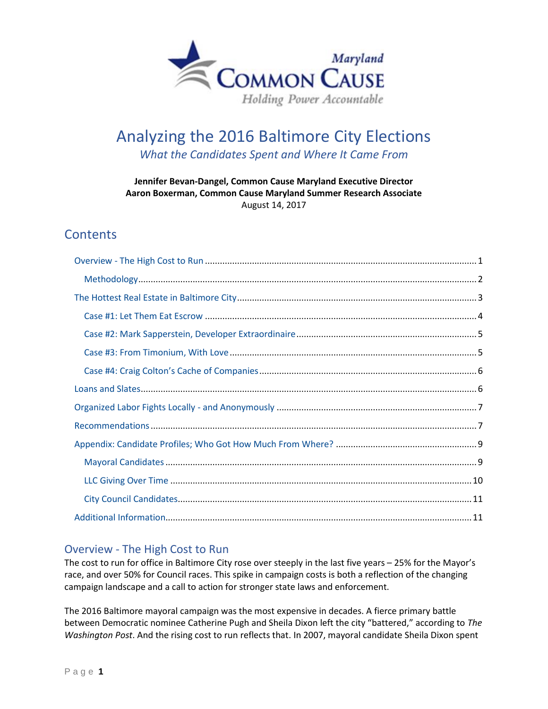

# Analyzing the 2016 Baltimore City Elections *What the Candidates Spent and Where It Came From*

#### **Jennifer Bevan-Dangel, Common Cause Maryland Executive Director Aaron Boxerman, Common Cause Maryland Summer Research Associate** August 14, 2017

# **Contents**

# <span id="page-0-0"></span>Overview - The High Cost to Run

The cost to run for office in Baltimore City rose over steeply in the last five years – 25% for the Mayor's race, and over 50% for Council races. This spike in campaign costs is both a reflection of the changing campaign landscape and a call to action for stronger state laws and enforcement.

The 2016 Baltimore mayoral campaign was the most expensive in decades. A fierce primary battle between Democratic nominee Catherine Pugh and Sheila Dixon left the city "battered," according to *The Washington Post*. And the rising cost to run reflects that. In 2007, mayoral candidate Sheila Dixon spent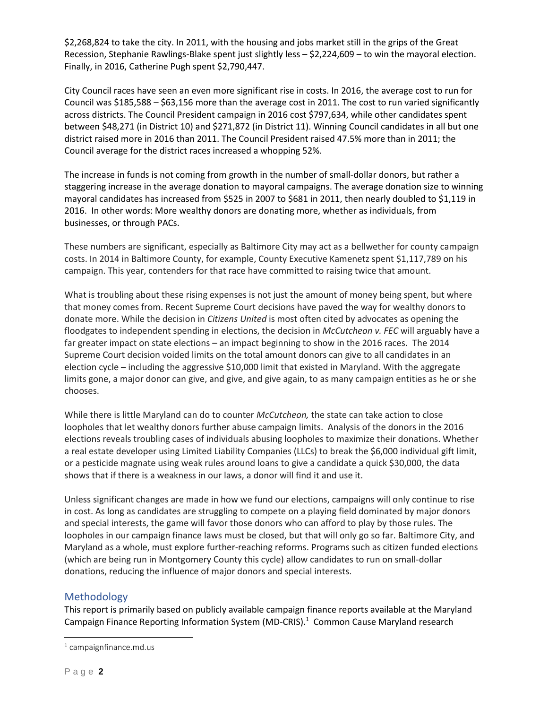\$2,268,824 to take the city. In 2011, with the housing and jobs market still in the grips of the Great Recession, Stephanie Rawlings-Blake spent just slightly less – \$2,224,609 – to win the mayoral election. Finally, in 2016, Catherine Pugh spent \$2,790,447.

City Council races have seen an even more significant rise in costs. In 2016, the average cost to run for Council was \$185,588 – \$63,156 more than the average cost in 2011. The cost to run varied significantly across districts. The Council President campaign in 2016 cost \$797,634, while other candidates spent between \$48,271 (in District 10) and \$271,872 (in District 11). Winning Council candidates in all but one district raised more in 2016 than 2011. The Council President raised 47.5% more than in 2011; the Council average for the district races increased a whopping 52%.

The increase in funds is not coming from growth in the number of small-dollar donors, but rather a staggering increase in the average donation to mayoral campaigns. The average donation size to winning mayoral candidates has increased from \$525 in 2007 to \$681 in 2011, then nearly doubled to \$1,119 in 2016. In other words: More wealthy donors are donating more, whether as individuals, from businesses, or through PACs.

These numbers are significant, especially as Baltimore City may act as a bellwether for county campaign costs. In 2014 in Baltimore County, for example, County Executive Kamenetz spent \$1,117,789 on his campaign. This year, contenders for that race have committed to raising twice that amount.

What is troubling about these rising expenses is not just the amount of money being spent, but where that money comes from. Recent Supreme Court decisions have paved the way for wealthy donors to donate more. While the decision in *Citizens United* is most often cited by advocates as opening the floodgates to independent spending in elections, the decision in *McCutcheon v. FEC* will arguably have a far greater impact on state elections – an impact beginning to show in the 2016 races. The 2014 Supreme Court decision voided limits on the total amount donors can give to all candidates in an election cycle – including the aggressive \$10,000 limit that existed in Maryland. With the aggregate limits gone, a major donor can give, and give, and give again, to as many campaign entities as he or she chooses.

While there is little Maryland can do to counter *McCutcheon,* the state can take action to close loopholes that let wealthy donors further abuse campaign limits. Analysis of the donors in the 2016 elections reveals troubling cases of individuals abusing loopholes to maximize their donations. Whether a real estate developer using Limited Liability Companies (LLCs) to break the \$6,000 individual gift limit, or a pesticide magnate using weak rules around loans to give a candidate a quick \$30,000, the data shows that if there is a weakness in our laws, a donor will find it and use it.

Unless significant changes are made in how we fund our elections, campaigns will only continue to rise in cost. As long as candidates are struggling to compete on a playing field dominated by major donors and special interests, the game will favor those donors who can afford to play by those rules. The loopholes in our campaign finance laws must be closed, but that will only go so far. Baltimore City, and Maryland as a whole, must explore further-reaching reforms. Programs such as citizen funded elections (which are being run in Montgomery County this cycle) allow candidates to run on small-dollar donations, reducing the influence of major donors and special interests.

#### <span id="page-1-0"></span>Methodology

This report is primarily based on publicly available campaign finance reports available at the Maryland Campaign Finance Reporting Information System (MD-CRIS).<sup>1</sup> Common Cause Maryland research

 $\overline{a}$ 

 $<sup>1</sup>$  campaignfinance.md.us</sup>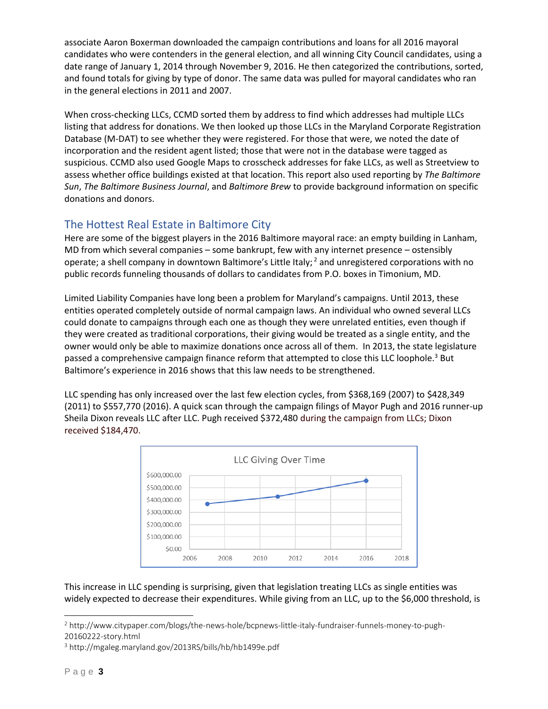associate Aaron Boxerman downloaded the campaign contributions and loans for all 2016 mayoral candidates who were contenders in the general election, and all winning City Council candidates, using a date range of January 1, 2014 through November 9, 2016. He then categorized the contributions, sorted, and found totals for giving by type of donor. The same data was pulled for mayoral candidates who ran in the general elections in 2011 and 2007.

When cross-checking LLCs, CCMD sorted them by address to find which addresses had multiple LLCs listing that address for donations. We then looked up those LLCs in the Maryland Corporate Registration Database (M-DAT) to see whether they were registered. For those that were, we noted the date of incorporation and the resident agent listed; those that were not in the database were tagged as suspicious. CCMD also used Google Maps to crosscheck addresses for fake LLCs, as well as Streetview to assess whether office buildings existed at that location. This report also used reporting by *The Baltimore Sun*, *The Baltimore Business Journal*, and *Baltimore Brew* to provide background information on specific donations and donors.

## <span id="page-2-0"></span>The Hottest Real Estate in Baltimore City

Here are some of the biggest players in the 2016 Baltimore mayoral race: an empty building in Lanham, MD from which several companies – some bankrupt, few with any internet presence – ostensibly operate; a shell company in downtown Baltimore's Little Italy;  $2$  and unregistered corporations with no public records funneling thousands of dollars to candidates from P.O. boxes in Timonium, MD.

Limited Liability Companies have long been a problem for Maryland's campaigns. Until 2013, these entities operated completely outside of normal campaign laws. An individual who owned several LLCs could donate to campaigns through each one as though they were unrelated entities, even though if they were created as traditional corporations, their giving would be treated as a single entity, and the owner would only be able to maximize donations once across all of them. In 2013, the state legislature passed a comprehensive campaign finance reform that attempted to close this LLC loophole.<sup>3</sup> But Baltimore's experience in 2016 shows that this law needs to be strengthened.

LLC spending has only increased over the last few election cycles, from \$368,169 (2007) to \$428,349 (2011) to \$557,770 (2016). A quick scan through the campaign filings of Mayor Pugh and 2016 runner-up Sheila Dixon reveals LLC after LLC. Pugh received \$372,480 during the campaign from LLCs; Dixon received \$184,470.



This increase in LLC spending is surprising, given that legislation treating LLCs as single entities was widely expected to decrease their expenditures. While giving from an LLC, up to the \$6,000 threshold, is

<sup>2</sup> http://www.citypaper.com/blogs/the-news-hole/bcpnews-little-italy-fundraiser-funnels-money-to-pugh-20160222-story.html

<sup>3</sup> <http://mgaleg.maryland.gov/2013RS/bills/hb/hb1499e.pdf>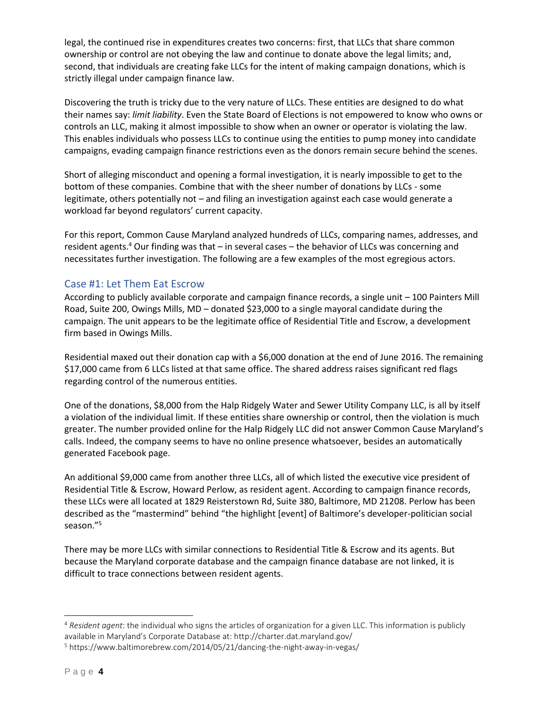legal, the continued rise in expenditures creates two concerns: first, that LLCs that share common ownership or control are not obeying the law and continue to donate above the legal limits; and, second, that individuals are creating fake LLCs for the intent of making campaign donations, which is strictly illegal under campaign finance law.

Discovering the truth is tricky due to the very nature of LLCs. These entities are designed to do what their names say: *limit liability*. Even the State Board of Elections is not empowered to know who owns or controls an LLC, making it almost impossible to show when an owner or operator is violating the law. This enables individuals who possess LLCs to continue using the entities to pump money into candidate campaigns, evading campaign finance restrictions even as the donors remain secure behind the scenes.

Short of alleging misconduct and opening a formal investigation, it is nearly impossible to get to the bottom of these companies. Combine that with the sheer number of donations by LLCs - some legitimate, others potentially not – and filing an investigation against each case would generate a workload far beyond regulators' current capacity.

For this report, Common Cause Maryland analyzed hundreds of LLCs, comparing names, addresses, and resident agents.<sup>4</sup> Our finding was that  $-$  in several cases  $-$  the behavior of LLCs was concerning and necessitates further investigation. The following are a few examples of the most egregious actors.

#### <span id="page-3-0"></span>Case #1: Let Them Eat Escrow

According to publicly available corporate and campaign finance records, a single unit – 100 Painters Mill Road, Suite 200, Owings Mills, MD – donated \$23,000 to a single mayoral candidate during the campaign. The unit appears to be the legitimate office of Residential Title and Escrow, a development firm based in Owings Mills.

Residential maxed out their donation cap with a \$6,000 donation at the end of June 2016. The remaining \$17,000 came from 6 LLCs listed at that same office. The shared address raises significant red flags regarding control of the numerous entities.

One of the donations, \$8,000 from the Halp Ridgely Water and Sewer Utility Company LLC, is all by itself a violation of the individual limit. If these entities share ownership or control, then the violation is much greater. The number provided online for the Halp Ridgely LLC did not answer Common Cause Maryland's calls. Indeed, the company seems to have no online presence whatsoever, besides an automatically generated Facebook page.

An additional \$9,000 came from another three LLCs, all of which listed the executive vice president of Residential Title & Escrow, Howard Perlow, as resident agent. According to campaign finance records, these LLCs were all located at 1829 Reisterstown Rd, Suite 380, Baltimore, MD 21208. Perlow has been described as the "mastermind" behind "the highlight [event] of Baltimore's developer-politician social season."<sup>5</sup>

There may be more LLCs with similar connections to Residential Title & Escrow and its agents. But because the Maryland corporate database and the campaign finance database are not linked, it is difficult to trace connections between resident agents.

<sup>4</sup> *Resident agent*: the individual who signs the articles of organization for a given LLC. This information is publicly available in Maryland's Corporate Database at: http://charter.dat.maryland.gov/

<sup>5</sup> https://www.baltimorebrew.com/2014/05/21/dancing-the-night-away-in-vegas/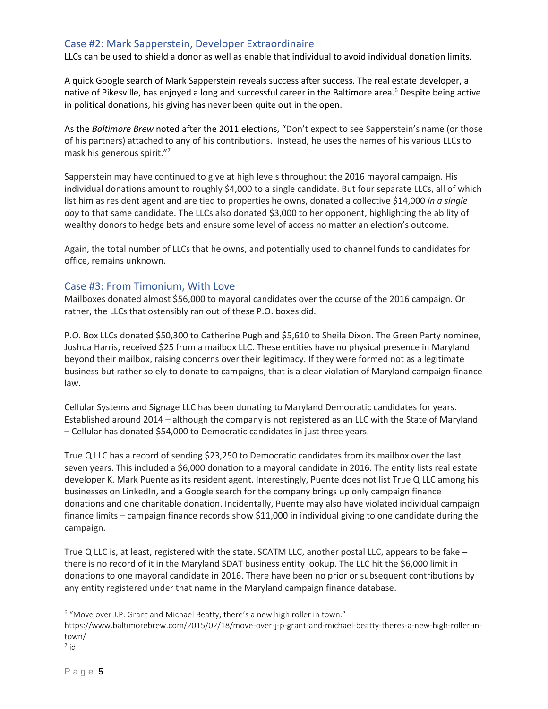#### <span id="page-4-0"></span>Case #2: Mark Sapperstein, Developer Extraordinaire

LLCs can be used to shield a donor as well as enable that individual to avoid individual donation limits.

A quick Google search of Mark Sapperstein reveals success after success. The real estate developer, a native of Pikesville, has enjoyed a long and successful career in the Baltimore area.<sup>6</sup> Despite being active in political donations, his giving has never been quite out in the open.

As the *Baltimore Brew* noted after the 2011 elections, "Don't expect to see Sapperstein's name (or those of his partners) attached to any of his contributions. Instead, he uses the names of his various LLCs to mask his generous spirit."<sup>7</sup>

Sapperstein may have continued to give at high levels throughout the 2016 mayoral campaign. His individual donations amount to roughly \$4,000 to a single candidate. But four separate LLCs, all of which list him as resident agent and are tied to properties he owns, donated a collective \$14,000 *in a single*  day to that same candidate. The LLCs also donated \$3,000 to her opponent, highlighting the ability of wealthy donors to hedge bets and ensure some level of access no matter an election's outcome.

Again, the total number of LLCs that he owns, and potentially used to channel funds to candidates for office, remains unknown.

#### <span id="page-4-1"></span>Case #3: From Timonium, With Love

Mailboxes donated almost \$56,000 to mayoral candidates over the course of the 2016 campaign. Or rather, the LLCs that ostensibly ran out of these P.O. boxes did.

P.O. Box LLCs donated \$50,300 to Catherine Pugh and \$5,610 to Sheila Dixon. The Green Party nominee, Joshua Harris, received \$25 from a mailbox LLC. These entities have no physical presence in Maryland beyond their mailbox, raising concerns over their legitimacy. If they were formed not as a legitimate business but rather solely to donate to campaigns, that is a clear violation of Maryland campaign finance law.

Cellular Systems and Signage LLC has been donating to Maryland Democratic candidates for years. Established around 2014 – although the company is not registered as an LLC with the State of Maryland – Cellular has donated \$54,000 to Democratic candidates in just three years.

True Q LLC has a record of sending \$23,250 to Democratic candidates from its mailbox over the last seven years. This included a \$6,000 donation to a mayoral candidate in 2016. The entity lists real estate developer K. Mark Puente as its resident agent. Interestingly, Puente does not list True Q LLC among his businesses on LinkedIn, and a Google search for the company brings up only campaign finance donations and one charitable donation. Incidentally, Puente may also have violated individual campaign finance limits – campaign finance records show \$11,000 in individual giving to one candidate during the campaign.

True Q LLC is, at least, registered with the state. SCATM LLC, another postal LLC, appears to be fake – there is no record of it in the Maryland SDAT business entity lookup. The LLC hit the \$6,000 limit in donations to one mayoral candidate in 2016. There have been no prior or subsequent contributions by any entity registered under that name in the Maryland campaign finance database.

 $6$  "Move over J.P. Grant and Michael Beatty, there's a new high roller in town."

https://www.baltimorebrew.com/2015/02/18/move-over-j-p-grant-and-michael-beatty-theres-a-new-high-roller-intown/

<sup>7</sup> id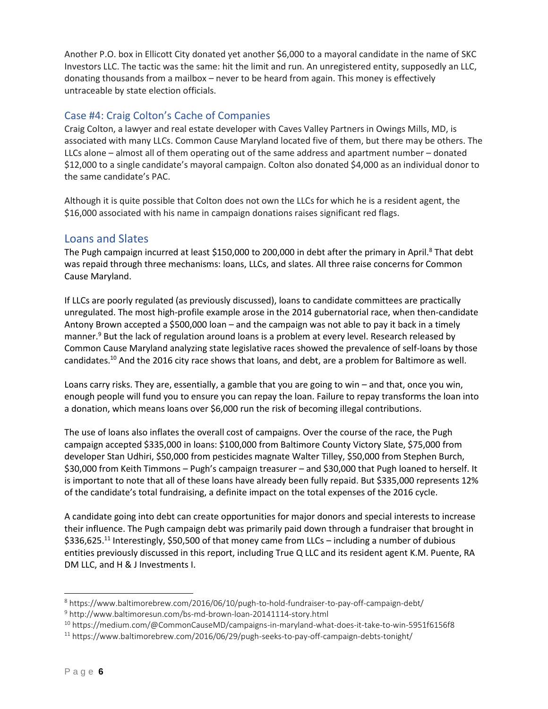Another P.O. box in Ellicott City donated yet another \$6,000 to a mayoral candidate in the name of SKC Investors LLC. The tactic was the same: hit the limit and run. An unregistered entity, supposedly an LLC, donating thousands from a mailbox – never to be heard from again. This money is effectively untraceable by state election officials.

#### <span id="page-5-0"></span>Case #4: Craig Colton's Cache of Companies

Craig Colton, a lawyer and real estate developer with Caves Valley Partners in Owings Mills, MD, is associated with many LLCs. Common Cause Maryland located five of them, but there may be others. The LLCs alone – almost all of them operating out of the same address and apartment number – donated \$12,000 to a single candidate's mayoral campaign. Colton also donated \$4,000 as an individual donor to the same candidate's PAC.

Although it is quite possible that Colton does not own the LLCs for which he is a resident agent, the \$16,000 associated with his name in campaign donations raises significant red flags.

#### <span id="page-5-1"></span>Loans and Slates

The Pugh campaign incurred at least \$150,000 to 200,000 in debt after the primary in April.<sup>8</sup> That debt was repaid through three mechanisms: loans, LLCs, and slates. All three raise concerns for Common Cause Maryland.

If LLCs are poorly regulated (as previously discussed), loans to candidate committees are practically unregulated. The most high-profile example arose in the 2014 gubernatorial race, when then-candidate Antony Brown accepted a \$500,000 loan – and the campaign was not able to pay it back in a timely manner.<sup>9</sup> But the lack of regulation around loans is a problem at every level. Research released by Common Cause Maryland analyzing state legislative races showed the prevalence of self-loans by those candidates.<sup>10</sup> And the 2016 city race shows that loans, and debt, are a problem for Baltimore as well.

Loans carry risks. They are, essentially, a gamble that you are going to win – and that, once you win, enough people will fund you to ensure you can repay the loan. Failure to repay transforms the loan into a donation, which means loans over \$6,000 run the risk of becoming illegal contributions.

The use of loans also inflates the overall cost of campaigns. Over the course of the race, the Pugh campaign accepted \$335,000 in loans: \$100,000 from Baltimore County Victory Slate, \$75,000 from developer Stan Udhiri, \$50,000 from pesticides magnate Walter Tilley, \$50,000 from Stephen Burch, \$30,000 from Keith Timmons – Pugh's campaign treasurer – and \$30,000 that Pugh loaned to herself. It is important to note that all of these loans have already been fully repaid. But \$335,000 represents 12% of the candidate's total fundraising, a definite impact on the total expenses of the 2016 cycle.

A candidate going into debt can create opportunities for major donors and special interests to increase their influence. The Pugh campaign debt was primarily paid down through a fundraiser that brought in \$336,625.<sup>11</sup> Interestingly, \$50,500 of that money came from LLCs – including a number of dubious entities previously discussed in this report, including True Q LLC and its resident agent K.M. Puente, RA DM LLC, and H & J Investments I.

<sup>8</sup> https://www.baltimorebrew.com/2016/06/10/pugh-to-hold-fundraiser-to-pay-off-campaign-debt/

<sup>9</sup> <http://www.baltimoresun.com/bs-md-brown-loan-20141114-story.html>

<sup>10</sup> https://medium.com/@CommonCauseMD/campaigns-in-maryland-what-does-it-take-to-win-5951f6156f8

<sup>11</sup> https://www.baltimorebrew.com/2016/06/29/pugh-seeks-to-pay-off-campaign-debts-tonight/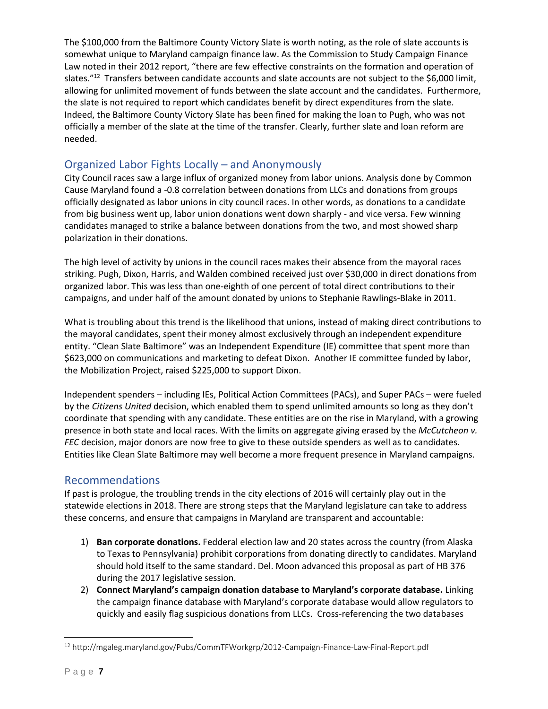The \$100,000 from the Baltimore County Victory Slate is worth noting, as the role of slate accounts is somewhat unique to Maryland campaign finance law. As the Commission to Study Campaign Finance Law noted in their 2012 report, "there are few effective constraints on the formation and operation of slates."<sup>12</sup> Transfers between candidate accounts and slate accounts are not subject to the \$6,000 limit, allowing for unlimited movement of funds between the slate account and the candidates. Furthermore, the slate is not required to report which candidates benefit by direct expenditures from the slate. Indeed, the Baltimore County Victory Slate has been fined for making the loan to Pugh, who was not officially a member of the slate at the time of the transfer. Clearly, further slate and loan reform are needed.

# <span id="page-6-0"></span>Organized Labor Fights Locally – and Anonymously

City Council races saw a large influx of organized money from labor unions. Analysis done by Common Cause Maryland found a -0.8 correlation between donations from LLCs and donations from groups officially designated as labor unions in city council races. In other words, as donations to a candidate from big business went up, labor union donations went down sharply - and vice versa. Few winning candidates managed to strike a balance between donations from the two, and most showed sharp polarization in their donations.

The high level of activity by unions in the council races makes their absence from the mayoral races striking. Pugh, Dixon, Harris, and Walden combined received just over \$30,000 in direct donations from organized labor. This was less than one-eighth of one percent of total direct contributions to their campaigns, and under half of the amount donated by unions to Stephanie Rawlings-Blake in 2011.

What is troubling about this trend is the likelihood that unions, instead of making direct contributions to the mayoral candidates, spent their money almost exclusively through an independent expenditure entity. "Clean Slate Baltimore" was an Independent Expenditure (IE) committee that spent more than \$623,000 on communications and marketing to defeat Dixon. Another IE committee funded by labor, the Mobilization Project, raised \$225,000 to support Dixon.

Independent spenders – including IEs, Political Action Committees (PACs), and Super PACs – were fueled by the *Citizens United* decision, which enabled them to spend unlimited amounts so long as they don't coordinate that spending with any candidate. These entities are on the rise in Maryland, with a growing presence in both state and local races. With the limits on aggregate giving erased by the *McCutcheon v. FEC* decision, major donors are now free to give to these outside spenders as well as to candidates. Entities like Clean Slate Baltimore may well become a more frequent presence in Maryland campaigns.

## <span id="page-6-1"></span>Recommendations

If past is prologue, the troubling trends in the city elections of 2016 will certainly play out in the statewide elections in 2018. There are strong steps that the Maryland legislature can take to address these concerns, and ensure that campaigns in Maryland are transparent and accountable:

- 1) **Ban corporate donations.** Fedderal election law and 20 states across the country (from Alaska to Texas to Pennsylvania) prohibit corporations from donating directly to candidates. Maryland should hold itself to the same standard. Del. Moon advanced this proposal as part of HB 376 during the 2017 legislative session.
- 2) **Connect Maryland's campaign donation database to Maryland's corporate database.** Linking the campaign finance database with Maryland's corporate database would allow regulators to quickly and easily flag suspicious donations from LLCs. Cross-referencing the two databases

 $\overline{a}$ 

<sup>12</sup> http://mgaleg.maryland.gov/Pubs/CommTFWorkgrp/2012-Campaign-Finance-Law-Final-Report.pdf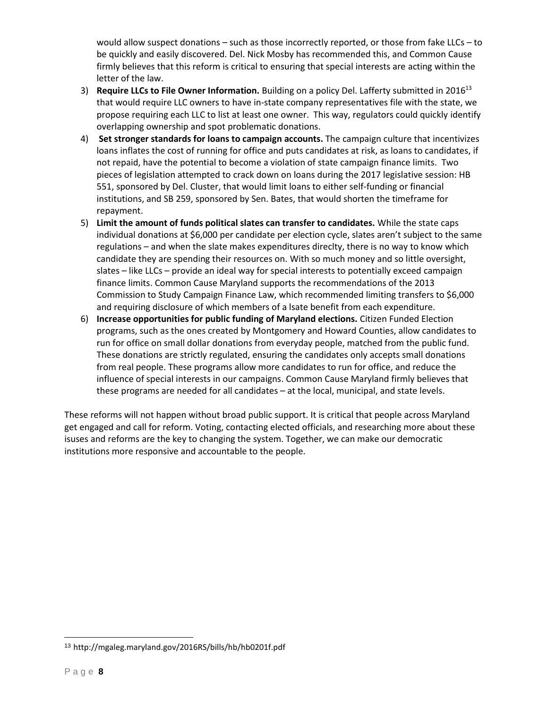would allow suspect donations – such as those incorrectly reported, or those from fake LLCs – to be quickly and easily discovered. Del. Nick Mosby has recommended this, and Common Cause firmly believes that this reform is critical to ensuring that special interests are acting within the letter of the law.

- 3) **Require LLCs to File Owner Information.** Building on a policy Del. Lafferty submitted in 2016<sup>13</sup> that would require LLC owners to have in-state company representatives file with the state, we propose requiring each LLC to list at least one owner. This way, regulators could quickly identify overlapping ownership and spot problematic donations.
- 4) **Set stronger standards for loans to campaign accounts.** The campaign culture that incentivizes loans inflates the cost of running for office and puts candidates at risk, as loans to candidates, if not repaid, have the potential to become a violation of state campaign finance limits. Two pieces of legislation attempted to crack down on loans during the 2017 legislative session: HB 551, sponsored by Del. Cluster, that would limit loans to either self-funding or financial institutions, and SB 259, sponsored by Sen. Bates, that would shorten the timeframe for repayment.
- 5) **Limit the amount of funds political slates can transfer to candidates.** While the state caps individual donations at \$6,000 per candidate per election cycle, slates aren't subject to the same regulations – and when the slate makes expenditures direclty, there is no way to know which candidate they are spending their resources on. With so much money and so little oversight, slates – like LLCs – provide an ideal way for special interests to potentially exceed campaign finance limits. Common Cause Maryland supports the recommendations of the 2013 Commission to Study Campaign Finance Law, which recommended limiting transfers to \$6,000 and requiring disclosure of which members of a lsate benefit from each expenditure.
- 6) **Increase opportunities for public funding of Maryland elections.** Citizen Funded Election programs, such as the ones created by Montgomery and Howard Counties, allow candidates to run for office on small dollar donations from everyday people, matched from the public fund. These donations are strictly regulated, ensuring the candidates only accepts small donations from real people. These programs allow more candidates to run for office, and reduce the influence of special interests in our campaigns. Common Cause Maryland firmly believes that these programs are needed for all candidates – at the local, municipal, and state levels.

These reforms will not happen without broad public support. It is critical that people across Maryland get engaged and call for reform. Voting, contacting elected officials, and researching more about these isuses and reforms are the key to changing the system. Together, we can make our democratic institutions more responsive and accountable to the people.

 $\overline{a}$ 

<sup>13</sup> http://mgaleg.maryland.gov/2016RS/bills/hb/hb0201f.pdf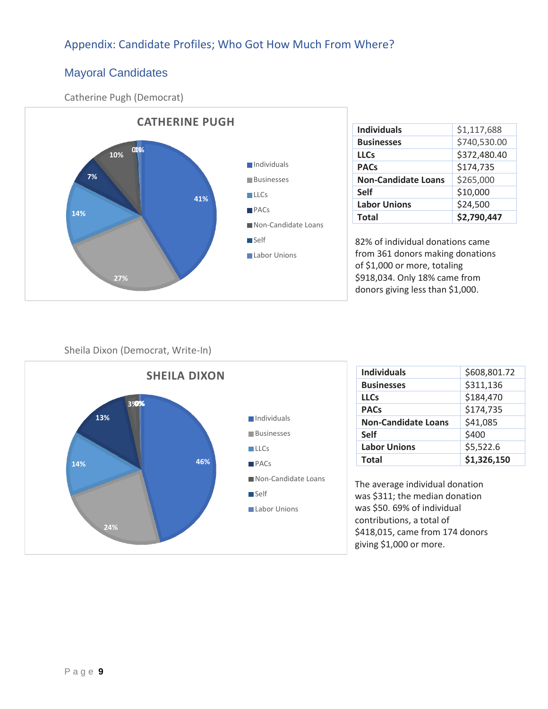# <span id="page-8-0"></span>Appendix: Candidate Profiles; Who Got How Much From Where?

# <span id="page-8-1"></span>Mayoral Candidates

Catherine Pugh (Democrat)



| <b>Individuals</b>         | \$1,117,688  |  |  |  |
|----------------------------|--------------|--|--|--|
| <b>Businesses</b>          | \$740,530.00 |  |  |  |
| <b>LLCs</b>                | \$372,480.40 |  |  |  |
| <b>PACs</b>                | \$174,735    |  |  |  |
| <b>Non-Candidate Loans</b> | \$265,000    |  |  |  |
| <b>Self</b>                | \$10,000     |  |  |  |
| <b>Labor Unions</b>        | \$24,500     |  |  |  |
| <b>Total</b>               | \$2,790,447  |  |  |  |

82% of individual donations came from 361 donors making donations of \$1,000 or more, totaling \$918,034. Only 18% came from donors giving less than \$1,000.

#### Sheila Dixon (Democrat, Write-In)



| <b>Individuals</b>         | \$608,801.72 |  |  |
|----------------------------|--------------|--|--|
| <b>Businesses</b>          | \$311,136    |  |  |
| <b>LLCs</b>                | \$184,470    |  |  |
| <b>PACs</b>                | \$174,735    |  |  |
| <b>Non-Candidate Loans</b> | \$41,085     |  |  |
| <b>Self</b>                | \$400        |  |  |
| <b>Labor Unions</b>        | \$5,522.6    |  |  |
| <b>Total</b>               | \$1,326,150  |  |  |

The average individual donation was \$311; the median donation was \$50. 69% of individual contributions, a total of \$418,015, came from 174 donors giving \$1,000 or more.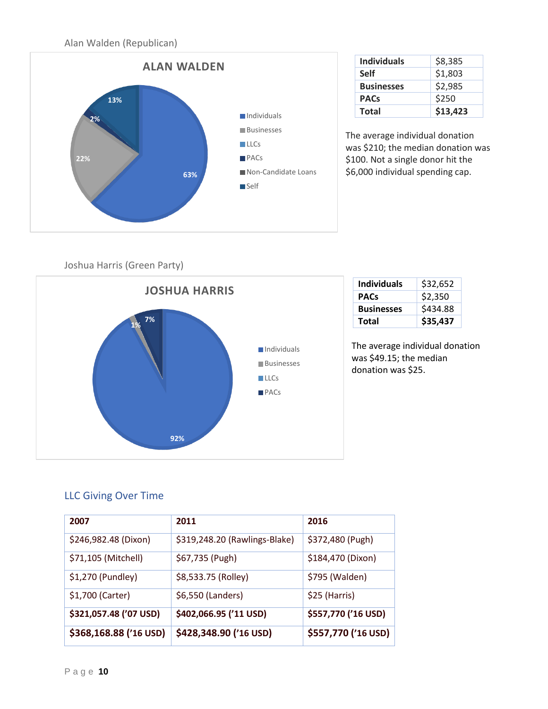Alan Walden (Republican)



| <b>Individuals</b> | \$8,385  |
|--------------------|----------|
| <b>Self</b>        | \$1,803  |
| <b>Businesses</b>  | \$2,985  |
| <b>PACs</b>        | \$250    |
| <b>Total</b>       | \$13,423 |

The average individual donation was \$210; the median donation was \$100. Not a single donor hit the \$6,000 individual spending cap.

Joshua Harris (Green Party)



| <b>Individuals</b> | \$32,652 |  |  |
|--------------------|----------|--|--|
| <b>PACs</b>        | \$2,350  |  |  |
| <b>Businesses</b>  | \$434.88 |  |  |
| Total              | \$35,437 |  |  |

The average individual donation was \$49.15; the median donation was \$25.

## <span id="page-9-0"></span>LLC Giving Over Time

| 2007                   | 2011                          | 2016                |
|------------------------|-------------------------------|---------------------|
| \$246,982.48 (Dixon)   | \$319,248.20 (Rawlings-Blake) | \$372,480 (Pugh)    |
| \$71,105 (Mitchell)    | \$67,735 (Pugh)               | \$184,470 (Dixon)   |
| \$1,270 (Pundley)      | \$8,533.75 (Rolley)           | \$795 (Walden)      |
| \$1,700 (Carter)       | \$6,550 (Landers)             | \$25 (Harris)       |
| \$321,057.48 ('07 USD) | \$402,066.95 ('11 USD)        | \$557,770 ('16 USD) |
| \$368,168.88 ('16 USD) | \$428,348.90 ('16 USD)        | \$557,770 ('16 USD) |